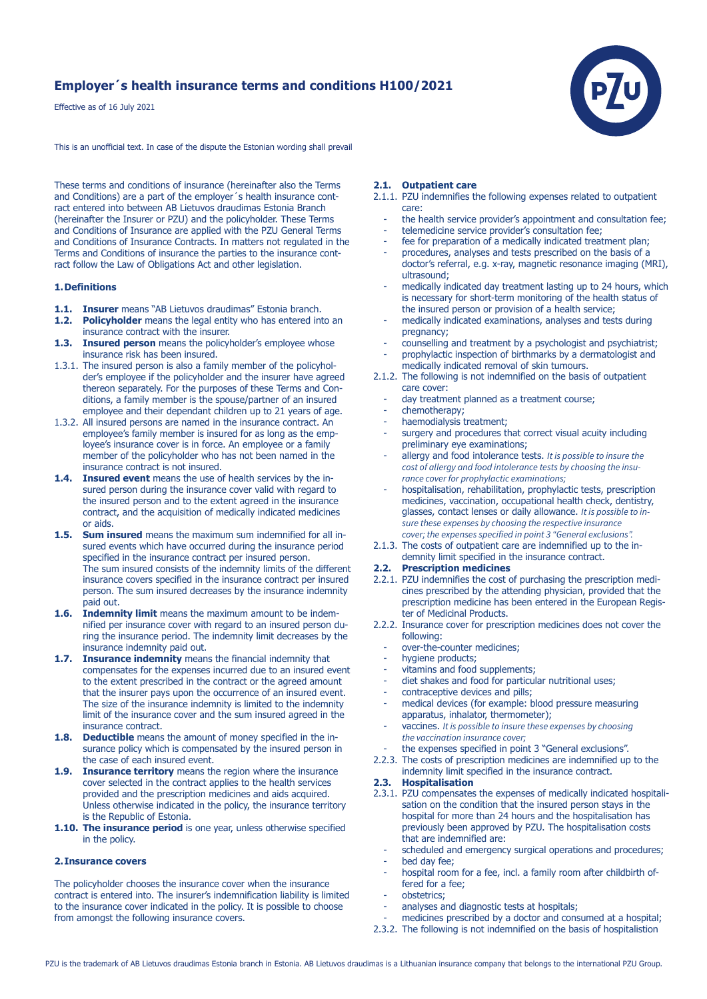# **Employer´s health insurance terms and conditions H100/2021**

Effective as of 16 July 2021

This is an unofficial text. In case of the dispute the Estonian wording shall prevail

These terms and conditions of insurance (hereinafter also the Terms and Conditions) are a part of the employer's health insurance contract entered into between AB Lietuvos draudimas Estonia Branch (hereinafter the Insurer or PZU) and the policyholder. These Terms and Conditions of Insurance are applied with the PZU General Terms and Conditions of Insurance Contracts. In matters not regulated in the Terms and Conditions of insurance the parties to the insurance contract follow the Law of Obligations Act and other legislation.

### **1. Definitions**

- **1.1. Insurer** means "AB Lietuvos draudimas" Estonia branch.<br>**1.2. Policyholder** means the legal entity who has entered in
- **Policyholder** means the legal entity who has entered into an insurance contract with the insurer.
- **1.3. Insured person** means the policyholder's employee whose insurance risk has been insured.
- 1.3.1. The insured person is also a family member of the policyhol der's employee if the policyholder and the insurer have agreed thereon separately. For the purposes of these Terms and Con ditions, a family member is the spouse/partner of an insured employee and their dependant children up to 21 years of age.
- 1.3.2. All insured persons are named in the insurance contract. An employee's family member is insured for as long as the emp loyee's insurance cover is in force. An employee or a family member of the policyholder who has not been named in the insurance contract is not insured.
- **1.4. Insured event** means the use of health services by the in sured person during the insurance cover valid with regard to the insured person and to the extent agreed in the insurance contract, and the acquisition of medically indicated medicines or aids.
- **1.5. Sum insured** means the maximum sum indemnified for all in sured events which have occurred during the insurance period specified in the insurance contract per insured person. The sum insured consists of the indemnity limits of the different insurance covers specified in the insurance contract per insured person. The sum insured decreases by the insurance indemnity paid out.
- **1.6. Indemnity limit** means the maximum amount to be indem nified per insurance cover with regard to an insured person du ring the insurance period. The indemnity limit decreases by the insurance indemnity paid out.
- **1.7. Insurance indemnity** means the financial indemnity that compensates for the expenses incurred due to an insured event to the extent prescribed in the contract or the agreed amount that the insurer pays upon the occurrence of an insured event. The size of the insurance indemnity is limited to the indemnity limit of the insurance cover and the sum insured agreed in the insurance contract.
- **1.8. Deductible** means the amount of money specified in the in surance policy which is compensated by the insured person in the case of each insured event.
- **1.9. Insurance territory** means the region where the insurance cover selected in the contract applies to the health services provided and the prescription medicines and aids acquired. Unless otherwise indicated in the policy, the insurance territory is the Republic of Estonia.
- **1.10. The insurance period** is one year, unless otherwise specified in the policy.

# **2. Insurance covers**

The policyholder chooses the insurance cover when the insurance contract is entered into. The insurer's indemnification liability is limited to the insurance cover indicated in the policy. It is possible to choose from amongst the following insurance covers.

### **2.1. Outpatient care**

- 2.1.1. PZU indemnifies the following expenses related to outpatient care:
	- the health service provider's appointment and consultation fee;
	- telemedicine service provider's consultation fee:
- fee for preparation of a medically indicated treatment plan;
- procedures, analyses and tests prescribed on the basis of a doctor's referral, e.g. x-ray, magnetic resonance imaging (MRI), ultrasound;
- medically indicated day treatment lasting up to 24 hours, which is necessary for short-term monitoring of the health status of the insured person or provision of a health service;
- medically indicated examinations, analyses and tests during pregnancy;
- counselling and treatment by a psychologist and psychiatrist;
- prophylactic inspection of birthmarks by a dermatologist and medically indicated removal of skin tumours.
- 2.1.2. The following is not indemnified on the basis of outpatient care cover:
	- day treatment planned as a treatment course;
	- chemotherapy;
	- haemodialysis treatment;
	- surgery and procedures that correct visual acuity including preliminary eye examinations;
	- allergy and food intolerance tests. *It is possible to insure the cost of allergy and food intolerance tests by choosing the insu rance cover for prophylactic examinations;*
	- hospitalisation, rehabilitation, prophylactic tests, prescription medicines, vaccination, occupational health check, dentistry, glasses, contact lenses or daily allowance. *It is possible to in sure these expenses by choosing the respective insurance cover; the expenses specified in point 3 "General exclusions".*
- 2.1.3. The costs of outpatient care are indemnified up to the in demnity limit specified in the insurance contract.

### **2.2. Prescription medicines**

- 2.2.1. PZU indemnifies the cost of purchasing the prescription medi cines prescribed by the attending physician, provided that the prescription medicine has been entered in the European Regis ter of Medicinal Products.
- 2.2.2. Insurance cover for prescription medicines does not cover the following:
	- over-the-counter medicines;<br>- hydiene products:
	- hygiene products;
	- vitamins and food supplements;
	- diet shakes and food for particular nutritional uses;
	- contraceptive devices and pills;
	- medical devices (for example: blood pressure measuring apparatus, inhalator, thermometer);
	- vaccines. *It is possible to insure these expenses by choosing the vaccination insurance cover;*
- the expenses specified in point 3 "General exclusions".
- 2.2.3. The costs of prescription medicines are indemnified up to the indemnity limit specified in the insurance contract.

# **2.3. Hospitalisation**

- 2.3.1. PZU compensates the expenses of medically indicated hospitali sation on the condition that the insured person stays in the hospital for more than 24 hours and the hospitalisation has previously been approved by PZU. The hospitalisation costs that are indemnified are:
	- scheduled and emergency surgical operations and procedures;
	- bed day fee;
	- hospital room for a fee, incl. a family room after childbirth offered for a fee;
	- obstetrics;
	- analyses and diagnostic tests at hospitals:
- medicines prescribed by a doctor and consumed at a hospital;
- 2.3.2. The following is not indemnified on the basis of hospitalistion

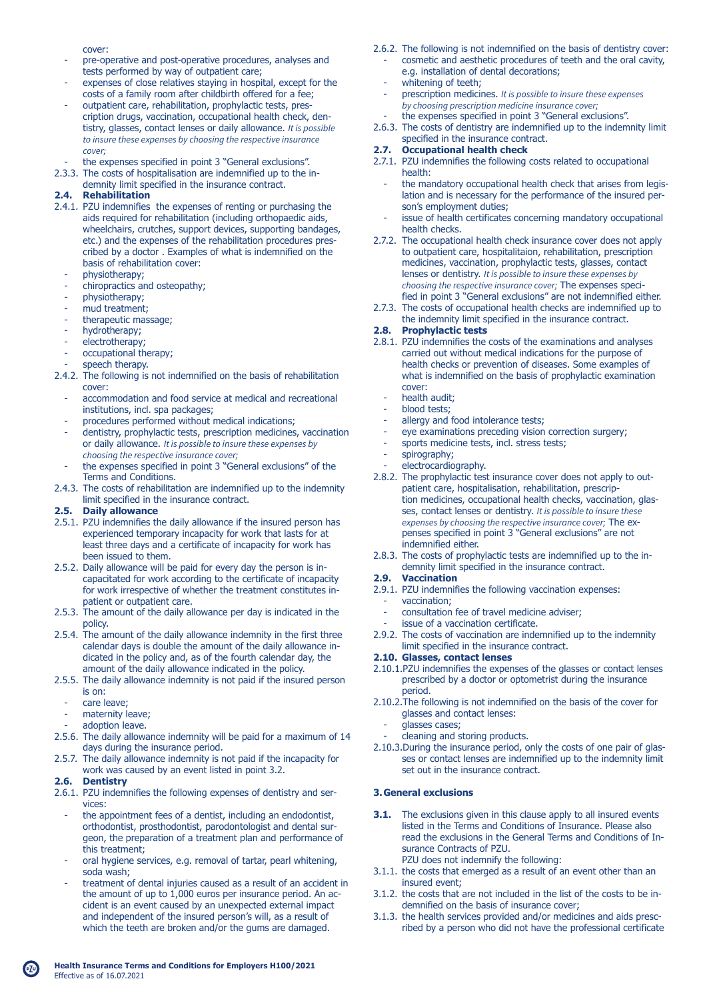cover:

- pre-operative and post-operative procedures, analyses and tests performed by way of outpatient care;
- expenses of close relatives staying in hospital, except for the costs of a family room after childbirth offered for a fee;
- outpatient care, rehabilitation, prophylactic tests, pres cription drugs, vaccination, occupational health check, den tistry, glasses, contact lenses or daily allowance. *It is possible to insure these expenses by choosing the respective insurance cover;*
- the expenses specified in point 3 "General exclusions".
- 2.3.3. The costs of hospitalisation are indemnified up to the in demnity limit specified in the insurance contract.

# **2.4. Rehabilitation**

- 2.4.1. PZU indemnifies the expenses of renting or purchasing the aids required for rehabilitation (including orthopaedic aids, wheelchairs, crutches, support devices, supporting bandages, etc.) and the expenses of the rehabilitation procedures pres cribed by a doctor . Examples of what is indemnified on the basis of rehabilitation cover:
	- physiotherapy;
	- chiropractics and osteopathy;
	- physiotherapy;
	- mud treatment;
	- therapeutic massage;
	- hydrotherapy;
	- electrotherapy;
	- occupational therapy;
	- speech therapy.
- 2.4.2. The following is not indemnified on the basis of rehabilitation cover:
	- accommodation and food service at medical and recreational institutions, incl. spa packages;
	- procedures performed without medical indications;
	- dentistry, prophylactic tests, prescription medicines, vaccination or daily allowance. *It is possible to insure these expenses by choosing the respective insurance cover;*
- the expenses specified in point 3 "General exclusions" of the Terms and Conditions.
- 2.4.3. The costs of rehabilitation are indemnified up to the indemnity limit specified in the insurance contract.

# **2.5. Daily allowance**

- 2.5.1. PZU indemnifies the daily allowance if the insured person has experienced temporary incapacity for work that lasts for at least three days and a certificate of incapacity for work has been issued to them.
- 2.5.2. Daily allowance will be paid for every day the person is in capacitated for work according to the certificate of incapacity for work irrespective of whether the treatment constitutes in patient or outpatient care.
- 2.5.3. The amount of the daily allowance per day is indicated in the policy.
- 2.5.4. The amount of the daily allowance indemnity in the first three calendar days is double the amount of the daily allowance in dicated in the policy and, as of the fourth calendar day, the amount of the daily allowance indicated in the policy.
- 2.5.5. The daily allowance indemnity is not paid if the insured person is on:
	- care leave;
	- maternity leave;
- adoption leave.
- 2.5.6. The daily allowance indemnity will be paid for a maximum of 14 days during the insurance period.
- 2.5.7. The daily allowance indemnity is not paid if the incapacity for work was caused by an event listed in point 3.2.
- **2.6. Dentistry**
- 2.6.1. PZU indemnifies the following expenses of dentistry and ser vices:
	- the appointment fees of a dentist, including an endodontist, orthodontist, prosthodontist, parodontologist and dental sur geon, the preparation of a treatment plan and performance of this treatment;
	- oral hygiene services, e.g. removal of tartar, pearl whitening, soda wash;
	- treatment of dental injuries caused as a result of an accident in the amount of up to 1,000 euros per insurance period. An ac cident is an event caused by an unexpected external impact and independent of the insured person's will, as a result of which the teeth are broken and/or the gums are damaged.
- 2.6.2. The following is not indemnified on the basis of dentistry cover: - cosmetic and aesthetic procedures of teeth and the oral cavity, e.g. installation of dental decorations;
	- whitening of teeth;
	- prescription medicines. *It is possible to insure these expenses by choosing prescription medicine insurance cover;*
	- the expenses specified in point 3 "General exclusions".
- 2.6.3. The costs of dentistry are indemnified up to the indemnity limit specified in the insurance contract.

### **2.7. Occupational health check**

- 2.7.1. PZU indemnifies the following costs related to occupational health:
	- the mandatory occupational health check that arises from legis lation and is necessary for the performance of the insured per son's employment duties;
	- issue of health certificates concerning mandatory occupational health checks.
- 2.7.2. The occupational health check insurance cover does not apply to outpatient care, hospitalitaion, rehabilitation, prescription medicines, vaccination, prophylactic tests, glasses, contact lenses or dentistry. *It is possible to insure these expenses by choosing the respective insurance cover;* The expenses speci fied in point 3 "General exclusions" are not indemnified either.
- 2.7.3. The costs of occupational health checks are indemnified up to the indemnity limit specified in the insurance contract.

# **2.8. Prophylactic tests**

- 2.8.1. PZU indemnifies the costs of the examinations and analyses carried out without medical indications for the purpose of health checks or prevention of diseases. Some examples of what is indemnified on the basis of prophylactic examination cover:
	- health audit;<br>- blood tests:
	- blood tests;
	- allergy and food intolerance tests;
	- eye examinations preceding vision correction surgery;
	- sports medicine tests, incl. stress tests;
	- spirography;
	- electrocardiography.
- 2.8.2. The prophylactic test insurance cover does not apply to out patient care, hospitalisation, rehabilitation, prescrip tion medicines, occupational health checks, vaccination, glas ses, contact lenses or dentistry. *It is possible to insure these expenses by choosing the respective insurance cover;* The ex penses specified in point 3 "General exclusions" are not indemnified either.
- 2.8.3. The costs of prophylactic tests are indemnified up to the in demnity limit specified in the insurance contract.

### **2.9. Vaccination**

- 2.9.1. PZU indemnifies the following vaccination expenses:
	- vaccination;
	- consultation fee of travel medicine adviser;
- issue of a vaccination certificate.
- 2.9.2. The costs of vaccination are indemnified up to the indemnity limit specified in the insurance contract.

### **2.10. Glasses, contact lenses**

- 2.10.1.PZU indemnifies the expenses of the glasses or contact lenses prescribed by a doctor or optometrist during the insurance period.
- 2.10.2.The following is not indemnified on the basis of the cover for glasses and contact lenses:
	- glasses cases;
	- cleaning and storing products.
- 2.10.3.During the insurance period, only the costs of one pair of glas ses or contact lenses are indemnified up to the indemnity limit set out in the insurance contract.

### **3. General exclusions**

- **3.1.** The exclusions given in this clause apply to all insured events listed in the Terms and Conditions of Insurance. Please also read the exclusions in the General Terms and Conditions of In surance Contracts of PZU.
	- PZU does not indemnify the following:
- 3.1.1. the costs that emerged as a result of an event other than an insured event;
- 3.1.2. the costs that are not included in the list of the costs to be in demnified on the basis of insurance cover;
- 3.1.3. the health services provided and/or medicines and aids presc ribed by a person who did not have the professional certificate

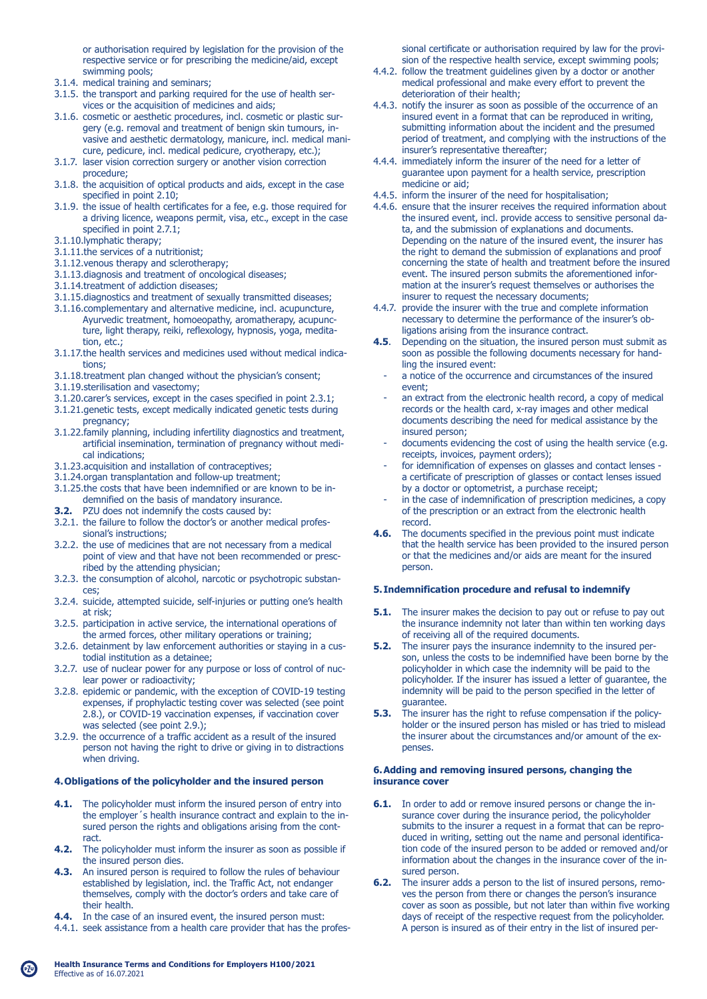or authorisation required by legislation for the provision of the respective service or for prescribing the medicine/aid, except swimming pools;

- 3.1.4. medical training and seminars;
- 3.1.5. the transport and parking required for the use of health ser vices or the acquisition of medicines and aids;
- 3.1.6. cosmetic or aesthetic procedures, incl. cosmetic or plastic sur gery (e.g. removal and treatment of benign skin tumours, in vasive and aesthetic dermatology, manicure, incl. medical mani cure, pedicure, incl. medical pedicure, cryotherapy, etc.);
- 3.1.7. laser vision correction surgery or another vision correction procedure;
- 3.1.8. the acquisition of optical products and aids, except in the case specified in point 2.10;
- 3.1.9. the issue of health certificates for a fee, e.g. those required for a driving licence, weapons permit, visa, etc., except in the case specified in point 2.7.1;
- 3.1.10.lymphatic therapy;
- 3.1.11.the services of a nutritionist;
- 3.1.12.venous therapy and sclerotherapy;
- 3.1.13.diagnosis and treatment of oncological diseases;
- 3.1.14.treatment of addiction diseases;
- 3.1.15.diagnostics and treatment of sexually transmitted diseases;
- 3.1.16.complementary and alternative medicine, incl. acupuncture, Ayurvedic treatment, homoeopathy, aromatherapy, acupunc ture, light therapy, reiki, reflexology, hypnosis, yoga, medita tion, etc.;
- 3.1.17.the health services and medicines used without medical indica tions;
- 3.1.18.treatment plan changed without the physician's consent;
- 3.1.19.sterilisation and vasectomy;
- 3.1.20.carer's services, except in the cases specified in point 2.3.1;
- 3.1.21.genetic tests, except medically indicated genetic tests during pregnancy;
- 3.1.22.family planning, including infertility diagnostics and treatment, artificial insemination, termination of pregnancy without medi cal indications;
- 3.1.23.acquisition and installation of contraceptives;
- 3.1.24.organ transplantation and follow-up treatment;
- 3.1.25.the costs that have been indemnified or are known to be in demnified on the basis of mandatory insurance.
- **3.2.** PZU does not indemnify the costs caused by:
- 3.2.1. the failure to follow the doctor's or another medical profes sional's instructions;
- 3.2.2. the use of medicines that are not necessary from a medical point of view and that have not been recommended or presc ribed by the attending physician;
- 3.2.3. the consumption of alcohol, narcotic or psychotropic substan ces;
- 3.2.4. suicide, attempted suicide, self-injuries or putting one's health at risk;
- 3.2.5. participation in active service, the international operations of the armed forces, other military operations or training;
- 3.2.6. detainment by law enforcement authorities or staying in a cus todial institution as a detainee;
- 3.2.7. use of nuclear power for any purpose or loss of control of nuc lear power or radioactivity;
- 3.2.8. epidemic or pandemic, with the exception of COVID-19 testing expenses, if prophylactic testing cover was selected (see point 2.8.), or COVID-19 vaccination expenses, if vaccination cover was selected (see point 2.9.);
- 3.2.9. the occurrence of a traffic accident as a result of the insured person not having the right to drive or giving in to distractions when driving.

### **4. Obligations of the policyholder and the insured person**

- **4.1.** The policyholder must inform the insured person of entry into the employer´s health insurance contract and explain to the in sured person the rights and obligations arising from the cont ract.
- **4.2.** The policyholder must inform the insurer as soon as possible if the insured person dies.
- **4.3.** An insured person is required to follow the rules of behaviour established by legislation, incl. the Traffic Act, not endanger themselves, comply with the doctor's orders and take care of their health.
- **4.4.** In the case of an insured event, the insured person must:
- 4.4.1. seek assistance from a health care provider that has the profes-

 sional certificate or authorisation required by law for the provi sion of the respective health service, except swimming pools;

- 4.4.2. follow the treatment guidelines given by a doctor or another medical professional and make every effort to prevent the deterioration of their health;
- 4.4.3. notify the insurer as soon as possible of the occurrence of an insured event in a format that can be reproduced in writing, submitting information about the incident and the presumed period of treatment, and complying with the instructions of the insurer's representative thereafter;
- 4.4.4. immediately inform the insurer of the need for a letter of guarantee upon payment for a health service, prescription medicine or aid;
- 4.4.5. inform the insurer of the need for hospitalisation;
- 4.4.6. ensure that the insurer receives the required information about the insured event, incl. provide access to sensitive personal da ta, and the submission of explanations and documents. Depending on the nature of the insured event, the insurer has the right to demand the submission of explanations and proof concerning the state of health and treatment before the insured event. The insured person submits the aforementioned infor mation at the insurer's request themselves or authorises the insurer to request the necessary documents;
- 4.4.7. provide the insurer with the true and complete information necessary to determine the performance of the insurer's ob ligations arising from the insurance contract.
- **4.5**. Depending on the situation, the insured person must submit as soon as possible the following documents necessary for hand ling the insured event:
	- a notice of the occurrence and circumstances of the insured event;
	- an extract from the electronic health record, a copy of medical records or the health card, x-ray images and other medical documents describing the need for medical assistance by the insured person;
	- documents evidencing the cost of using the health service (e.g. receipts, invoices, payment orders);
	- for idemnification of expenses on glasses and contact lenses a certificate of prescription of glasses or contact lenses issued by a doctor or optometrist, a purchase receipt;
	- in the case of indemnification of prescription medicines, a copy of the prescription or an extract from the electronic health
- record.<br>**4.6.** The do **4.6.** The documents specified in the previous point must indicate that the health service has been provided to the insured person or that the medicines and/or aids are meant for the insured person.

### **5. Indemnification procedure and refusal to indemnify**

- **5.1.** The insurer makes the decision to pay out or refuse to pay out the insurance indemnity not later than within ten working days of receiving all of the required documents.
- **5.2.** The insurer pays the insurance indemnity to the insured per son, unless the costs to be indemnified have been borne by the policyholder in which case the indemnity will be paid to the policyholder. If the insurer has issued a letter of guarantee, the indemnity will be paid to the person specified in the letter of guarantee.<br>5.3. The insure
- **5.3.** The insurer has the right to refuse compensation if the policy holder or the insured person has misled or has tried to mislead the insurer about the circumstances and/or amount of the ex penses.

#### **6. Adding and removing insured persons, changing the insurance cover**

- **6.1.** In order to add or remove insured persons or change the in surance cover during the insurance period, the policyholder submits to the insurer a request in a format that can be repro duced in writing, setting out the name and personal identifica tion code of the insured person to be added or removed and/or information about the changes in the insurance cover of the in sured person.
- **6.2.** The insurer adds a person to the list of insured persons, remo ves the person from there or changes the person's insurance cover as soon as possible, but not later than within five working days of receipt of the respective request from the policyholder. A person is insured as of their entry in the list of insured per-